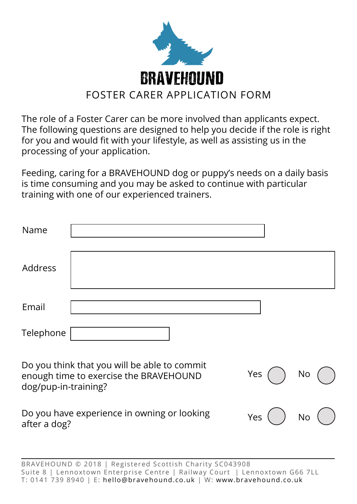

The role of a Foster Carer can be more involved than applicants expect. The following questions are designed to help you decide if the role is right for you and would fit with your lifestyle, as well as assisting us in the processing of your application.

Feeding, caring for a BRAVEHOUND dog or puppy's needs on a daily basis is time consuming and you may be asked to continue with particular training with one of our experienced trainers.

| Name                 |                                                                                        |     |    |  |
|----------------------|----------------------------------------------------------------------------------------|-----|----|--|
| Address              |                                                                                        |     |    |  |
| Email                |                                                                                        |     |    |  |
| Telephone            |                                                                                        |     |    |  |
| dog/pup-in-training? | Do you think that you will be able to commit<br>enough time to exercise the BRAVEHOUND | Yes | No |  |
| after a dog?         | Do you have experience in owning or looking                                            | Yes | No |  |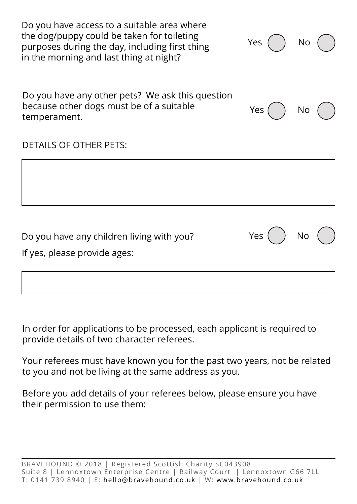| Do you have access to a suitable area where<br>the dog/puppy could be taken for toileting<br>purposes during the day, including first thing<br>in the morning and last thing at night? | Yes | No |  |
|----------------------------------------------------------------------------------------------------------------------------------------------------------------------------------------|-----|----|--|
| Do you have any other pets? We ask this question<br>because other dogs must be of a suitable<br>temperament.                                                                           | Yes | No |  |
| <b>DETAILS OF OTHER PETS:</b>                                                                                                                                                          |     |    |  |
|                                                                                                                                                                                        |     |    |  |
| Do you have any children living with you?<br>If yes, please provide ages:                                                                                                              | Yes | No |  |
|                                                                                                                                                                                        |     |    |  |

In order for applications to be processed, each applicant is required to provide details of two character referees.

Your referees must have known you for the past two years, not be related to you and not be living at the same address as you.

Before you add details of your referees below, please ensure you have their permission to use them: